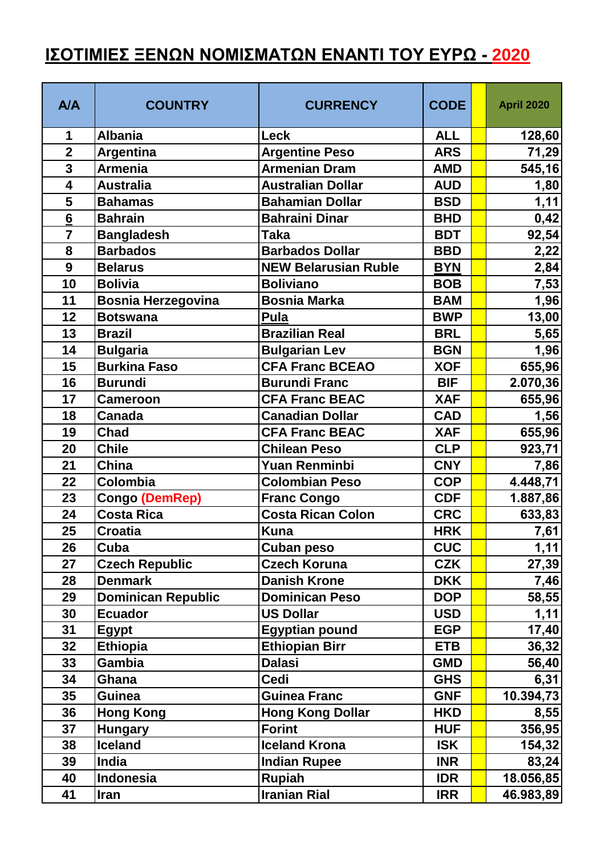## **ΙΣΟΤΙΜΙΕΣ ΞΕΝΩΝ ΝΟΜΙΣΜΑΤΩΝ ΕΝΑΝΤΙ ΤΟΥ ΕΥΡΩ - 2020**

| A/A                     | <b>COUNTRY</b>            | <b>CURRENCY</b>             | <b>CODE</b> | <b>April 2020</b> |
|-------------------------|---------------------------|-----------------------------|-------------|-------------------|
| 1                       | <b>Albania</b>            | Leck                        | <b>ALL</b>  | 128,60            |
| $\overline{2}$          | <b>Argentina</b>          | <b>Argentine Peso</b>       | <b>ARS</b>  | 71,29             |
| 3                       | <b>Armenia</b>            | <b>Armenian Dram</b>        | <b>AMD</b>  | 545,16            |
| $\overline{\mathbf{4}}$ | <b>Australia</b>          | <b>Australian Dollar</b>    | <b>AUD</b>  | 1,80              |
| 5                       | <b>Bahamas</b>            | <b>Bahamian Dollar</b>      | <b>BSD</b>  | 1, 11]            |
| 6                       | <b>Bahrain</b>            | <b>Bahraini Dinar</b>       | <b>BHD</b>  | 0,42              |
| $\overline{7}$          | <b>Bangladesh</b>         | <b>Taka</b>                 | <b>BDT</b>  | 92,54             |
| 8                       | <b>Barbados</b>           | <b>Barbados Dollar</b>      | <b>BBD</b>  | 2,22              |
| 9                       | <b>Belarus</b>            | <b>NEW Belarusian Ruble</b> | <b>BYN</b>  | 2,84              |
| 10                      | <b>Bolivia</b>            | <b>Boliviano</b>            | <b>BOB</b>  | 7,53              |
| 11                      | <b>Bosnia Herzegovina</b> | <b>Bosnia Marka</b>         | <b>BAM</b>  | 1,96              |
| 12                      | <b>Botswana</b>           | <b>Pula</b>                 | <b>BWP</b>  | 13,00             |
| 13                      | <b>Brazil</b>             | <b>Brazilian Real</b>       | <b>BRL</b>  | 5,65              |
| 14                      | <b>Bulgaria</b>           | <b>Bulgarian Lev</b>        | <b>BGN</b>  | 1,96              |
| 15                      | <b>Burkina Faso</b>       | <b>CFA Franc BCEAO</b>      | <b>XOF</b>  | 655,96            |
| 16                      | <b>Burundi</b>            | <b>Burundi Franc</b>        | <b>BIF</b>  | 2.070,36          |
| 17                      | <b>Cameroon</b>           | <b>CFA Franc BEAC</b>       | <b>XAF</b>  | 655,96            |
| 18                      | Canada                    | <b>Canadian Dollar</b>      | <b>CAD</b>  | 1,56              |
| 19                      | <b>Chad</b>               | <b>CFA Franc BEAC</b>       | <b>XAF</b>  | 655,96            |
| 20                      | <b>Chile</b>              | <b>Chilean Peso</b>         | <b>CLP</b>  | 923,71            |
| 21                      | China                     | <b>Yuan Renminbi</b>        | <b>CNY</b>  | 7,86              |
| 22                      | Colombia                  | <b>Colombian Peso</b>       | <b>COP</b>  | 4.448,71          |
| 23                      | <b>Congo (DemRep)</b>     | <b>Franc Congo</b>          | <b>CDF</b>  | 1.887,86          |
| 24                      | <b>Costa Rica</b>         | <b>Costa Rican Colon</b>    | <b>CRC</b>  | 633,83            |
| 25                      | <b>Croatia</b>            | <b>Kuna</b>                 | <b>HRK</b>  | 7,61              |
| 26                      | Cuba                      | <b>Cuban peso</b>           | <b>CUC</b>  | 1,11              |
| 27                      | <b>Czech Republic</b>     | <b>Czech Koruna</b>         | <b>CZK</b>  | 27,39             |
| 28                      | <b>Denmark</b>            | <b>Danish Krone</b>         | <b>DKK</b>  | 7,46              |
| 29                      | <b>Dominican Republic</b> | <b>Dominican Peso</b>       | <b>DOP</b>  | 58,55             |
| 30                      | <b>Ecuador</b>            | <b>US Dollar</b>            | <b>USD</b>  | 1,11              |
| 31                      | <b>Egypt</b>              | <b>Egyptian pound</b>       | <b>EGP</b>  | 17,40             |
| 32                      | <b>Ethiopia</b>           | <b>Ethiopian Birr</b>       | <b>ETB</b>  | 36,32             |
| 33                      | Gambia                    | <b>Dalasi</b>               | <b>GMD</b>  | 56,40             |
| 34                      | Ghana                     | Cedi                        | <b>GHS</b>  | 6,31              |
| 35                      | Guinea                    | <b>Guinea Franc</b>         | <b>GNF</b>  | 10.394,73         |
| 36                      | <b>Hong Kong</b>          | <b>Hong Kong Dollar</b>     | <b>HKD</b>  | 8,55              |
| 37                      | <b>Hungary</b>            | <b>Forint</b>               | <b>HUF</b>  | 356,95            |
| 38                      | <b>Iceland</b>            | <b>Iceland Krona</b>        | <b>ISK</b>  | 154,32            |
| 39                      | <b>India</b>              | <b>Indian Rupee</b>         | <b>INR</b>  | 83,24             |
| 40                      | Indonesia                 | <b>Rupiah</b>               | <b>IDR</b>  | 18.056,85         |
| 41                      | <b>Iran</b>               | <b>Iranian Rial</b>         | <b>IRR</b>  | 46.983,89         |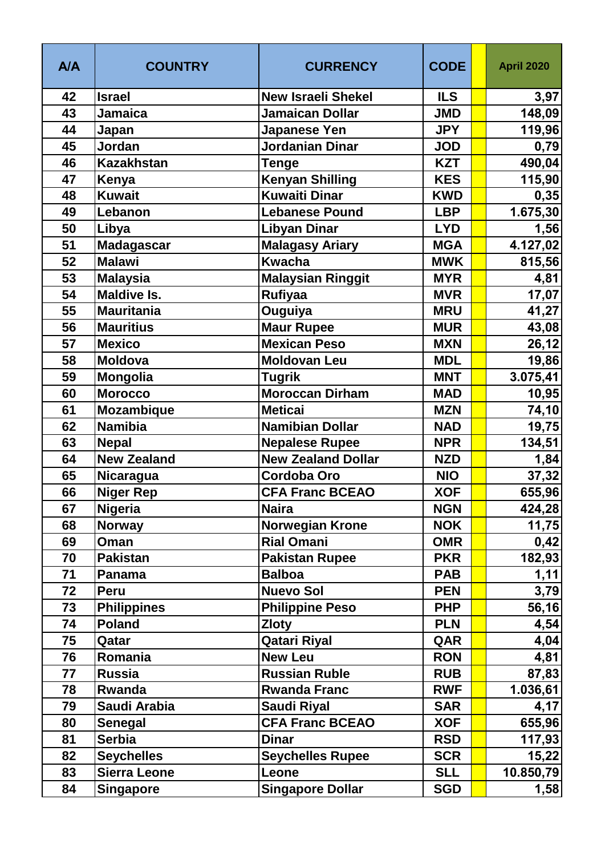| <b>A/A</b> | <b>COUNTRY</b>      | <b>CURRENCY</b>           | <b>CODE</b> | <b>April 2020</b> |
|------------|---------------------|---------------------------|-------------|-------------------|
| 42         | <b>Israel</b>       | <b>New Israeli Shekel</b> | <b>ILS</b>  | 3,97              |
| 43         | <b>Jamaica</b>      | <b>Jamaican Dollar</b>    | <b>JMD</b>  | 148,09            |
| 44         | Japan               | Japanese Yen              | <b>JPY</b>  | 119,96            |
| 45         | Jordan              | Jordanian Dinar           | <b>JOD</b>  | 0,79              |
| 46         | <b>Kazakhstan</b>   | <b>Tenge</b>              | <b>KZT</b>  | 490,04            |
| 47         | Kenya               | <b>Kenyan Shilling</b>    | <b>KES</b>  | 115,90            |
| 48         | <b>Kuwait</b>       | Kuwaiti Dinar             | <b>KWD</b>  | 0,35              |
| 49         | Lebanon             | <b>Lebanese Pound</b>     | <b>LBP</b>  | 1.675,30          |
| 50         | Libya               | Libyan Dinar              | <b>LYD</b>  | 1,56              |
| 51         | <b>Madagascar</b>   | <b>Malagasy Ariary</b>    | <b>MGA</b>  | 4.127,02          |
| 52         | <b>Malawi</b>       | <b>Kwacha</b>             | <b>MWK</b>  | 815,56            |
| 53         | <b>Malaysia</b>     | <b>Malaysian Ringgit</b>  | <b>MYR</b>  | 4,81              |
| 54         | <b>Maldive Is.</b>  | <b>Rufiyaa</b>            | <b>MVR</b>  | 17,07             |
| 55         | <b>Mauritania</b>   | Ouguiya                   | <b>MRU</b>  | 41,27             |
| 56         | <b>Mauritius</b>    | <b>Maur Rupee</b>         | <b>MUR</b>  | 43,08             |
| 57         | <b>Mexico</b>       | <b>Mexican Peso</b>       | <b>MXN</b>  | 26,12             |
| 58         | <b>Moldova</b>      | <b>Moldovan Leu</b>       | <b>MDL</b>  | 19,86             |
| 59         | <b>Mongolia</b>     | Tugrik                    | <b>MNT</b>  | 3.075,41          |
| 60         | <b>Morocco</b>      | <b>Moroccan Dirham</b>    | <b>MAD</b>  | 10,95             |
| 61         | <b>Mozambique</b>   | <b>Meticai</b>            | <b>MZN</b>  | 74,10             |
| 62         | <b>Namibia</b>      | <b>Namibian Dollar</b>    | <b>NAD</b>  | 19,75             |
| 63         | <b>Nepal</b>        | <b>Nepalese Rupee</b>     | <b>NPR</b>  | 134,51            |
| 64         | <b>New Zealand</b>  | <b>New Zealand Dollar</b> | <b>NZD</b>  | 1,84              |
| 65         | Nicaragua           | <b>Cordoba Oro</b>        | <b>NIO</b>  | 37,32             |
| 66         | <b>Niger Rep</b>    | <b>CFA Franc BCEAO</b>    | <b>XOF</b>  | 655,96            |
| 67         | <b>Nigeria</b>      | <b>Naira</b>              | <b>NGN</b>  | 424,28            |
| 68         | <b>Norway</b>       | <b>Norwegian Krone</b>    | <b>NOK</b>  | 11,75             |
| 69         | Oman                | <b>Rial Omani</b>         | <b>OMR</b>  | 0,42              |
| 70         | <b>Pakistan</b>     | <b>Pakistan Rupee</b>     | <b>PKR</b>  | 182,93            |
| 71         | <b>Panama</b>       | <b>Balboa</b>             | <b>PAB</b>  | 1,11              |
| 72         | Peru                | <b>Nuevo Sol</b>          | <b>PEN</b>  | 3,79              |
| 73         | <b>Philippines</b>  | <b>Philippine Peso</b>    | <b>PHP</b>  | 56,16             |
| 74         | <b>Poland</b>       | <b>Zloty</b>              | <b>PLN</b>  | 4,54              |
| 75         | Qatar               | <b>Qatari Riyal</b>       | QAR         | 4,04              |
| 76         | Romania             | <b>New Leu</b>            | <b>RON</b>  | 4,81              |
| 77         | <b>Russia</b>       | <b>Russian Ruble</b>      | <b>RUB</b>  | 87,83             |
| 78         | Rwanda              | <b>Rwanda Franc</b>       | <b>RWF</b>  | 1.036, 61         |
| 79         | Saudi Arabia        | <b>Saudi Riyal</b>        | <b>SAR</b>  | 4,17              |
| 80         | <b>Senegal</b>      | <b>CFA Franc BCEAO</b>    | <b>XOF</b>  | 655,96            |
| 81         | <b>Serbia</b>       | <b>Dinar</b>              | <b>RSD</b>  | 117,93            |
| 82         | <b>Seychelles</b>   | <b>Seychelles Rupee</b>   | <b>SCR</b>  | 15,22             |
| 83         | <b>Sierra Leone</b> | Leone                     | <b>SLL</b>  | 10.850,79         |
| 84         | <b>Singapore</b>    | <b>Singapore Dollar</b>   | <b>SGD</b>  | 1,58              |